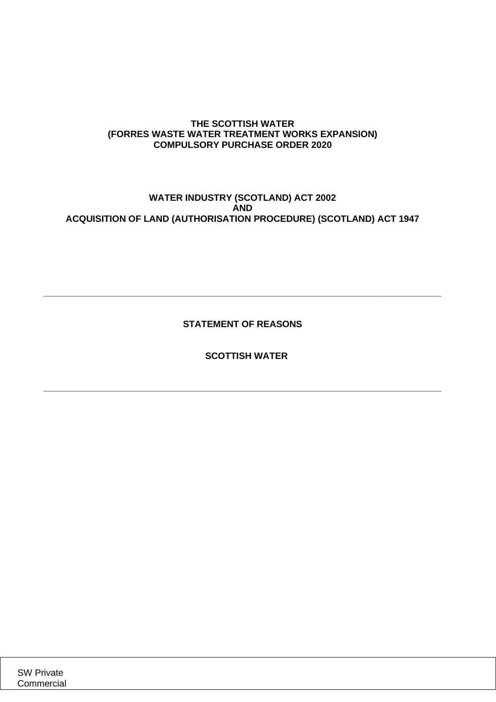## **THE SCOTTISH WATER (FORRES WASTE WATER TREATMENT WORKS EXPANSION) COMPULSORY PURCHASE ORDER 2020**

# **WATER INDUSTRY (SCOTLAND) ACT 2002 AND ACQUISITION OF LAND (AUTHORISATION PROCEDURE) (SCOTLAND) ACT 1947**

**STATEMENT OF REASONS**

**\_\_\_\_\_\_\_\_\_\_\_\_\_\_\_\_\_\_\_\_\_\_\_\_\_\_\_\_\_\_\_\_\_\_\_\_\_\_\_\_\_\_\_\_\_\_\_\_\_\_\_\_\_\_\_\_\_\_\_\_\_\_\_\_\_\_\_\_\_\_\_\_\_\_\_\_\_\_**

**SCOTTISH WATER**

**\_\_\_\_\_\_\_\_\_\_\_\_\_\_\_\_\_\_\_\_\_\_\_\_\_\_\_\_\_\_\_\_\_\_\_\_\_\_\_\_\_\_\_\_\_\_\_\_\_\_\_\_\_\_\_\_\_\_\_\_\_\_\_\_\_\_\_\_\_\_\_\_\_\_\_\_\_\_**

SW Private **Commercial**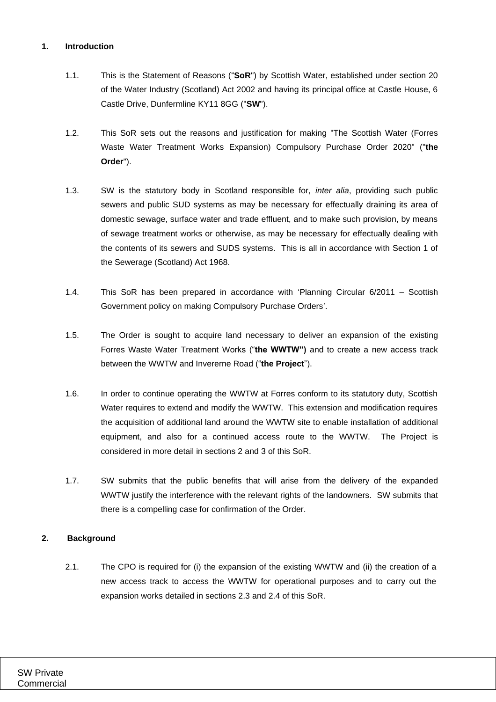## **1. Introduction**

- 1.1. This is the Statement of Reasons ("**SoR**") by Scottish Water, established under section 20 of the Water Industry (Scotland) Act 2002 and having its principal office at Castle House, 6 Castle Drive, Dunfermline KY11 8GG ("**SW**").
- 1.2. This SoR sets out the reasons and justification for making "The Scottish Water (Forres Waste Water Treatment Works Expansion) Compulsory Purchase Order 2020" ("**the Order**").
- 1.3. SW is the statutory body in Scotland responsible for, *inter alia*, providing such public sewers and public SUD systems as may be necessary for effectually draining its area of domestic sewage, surface water and trade effluent, and to make such provision, by means of sewage treatment works or otherwise, as may be necessary for effectually dealing with the contents of its sewers and SUDS systems. This is all in accordance with Section 1 of the Sewerage (Scotland) Act 1968.
- 1.4. This SoR has been prepared in accordance with 'Planning Circular 6/2011 Scottish Government policy on making Compulsory Purchase Orders'.
- 1.5. The Order is sought to acquire land necessary to deliver an expansion of the existing Forres Waste Water Treatment Works ("**the WWTW")** and to create a new access track between the WWTW and Invererne Road ("**the Project**").
- 1.6. In order to continue operating the WWTW at Forres conform to its statutory duty, Scottish Water requires to extend and modify the WWTW. This extension and modification requires the acquisition of additional land around the WWTW site to enable installation of additional equipment, and also for a continued access route to the WWTW. The Project is considered in more detail in sections [2](#page-1-0) and [3](#page-2-0) of this SoR.
- 1.7. SW submits that the public benefits that will arise from the delivery of the expanded WWTW justify the interference with the relevant rights of the landowners. SW submits that there is a compelling case for confirmation of the Order.

## <span id="page-1-0"></span>**2. Background**

2.1. The CPO is required for (i) the expansion of the existing WWTW and (ii) the creation of a new access track to access the WWTW for operational purposes and to carry out the expansion works detailed in sections [2.3](#page-2-1) and [2.4](#page-2-2) of this SoR.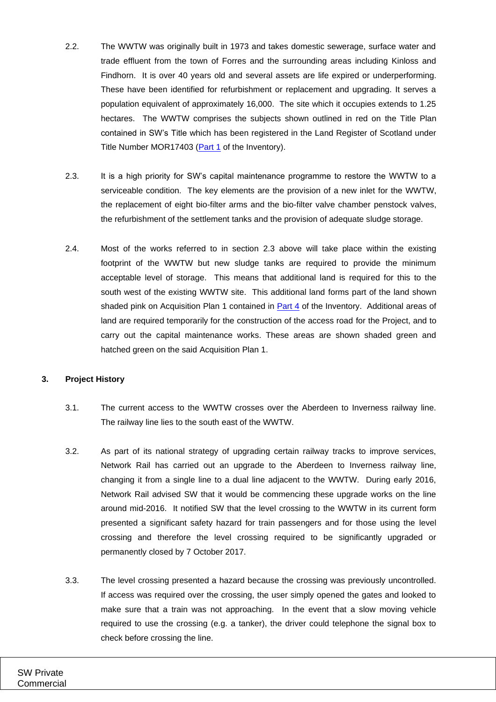- 2.2. The WWTW was originally built in 1973 and takes domestic sewerage, surface water and trade effluent from the town of Forres and the surrounding areas including Kinloss and Findhorn. It is over 40 years old and several assets are life expired or underperforming. These have been identified for refurbishment or replacement and upgrading. It serves a population equivalent of approximately 16,000. The site which it occupies extends to 1.25 hectares. The WWTW comprises the subjects shown outlined in red on the Title Plan contained in SW's Title which has been registered in the Land Register of Scotland under Title Number MOR17403 [\(Part 1](#page-18-0) of the Inventory).
- <span id="page-2-1"></span>2.3. It is a high priority for SW's capital maintenance programme to restore the WWTW to a serviceable condition. The key elements are the provision of a new inlet for the WWTW, the replacement of eight bio-filter arms and the bio-filter valve chamber penstock valves, the refurbishment of the settlement tanks and the provision of adequate sludge storage.
- <span id="page-2-2"></span>2.4. Most of the works referred to in section [2.3](#page-2-1) above will take place within the existing footprint of the WWTW but new sludge tanks are required to provide the minimum acceptable level of storage. This means that additional land is required for this to the south west of the existing WWTW site. This additional land forms part of the land shown shaded pink on Acquisition Plan 1 contained in [Part 4](#page-18-1) of the Inventory. Additional areas of land are required temporarily for the construction of the access road for the Project, and to carry out the capital maintenance works. These areas are shown shaded green and hatched green on the said Acquisition Plan 1.

#### <span id="page-2-0"></span>**3. Project History**

- 3.1. The current access to the WWTW crosses over the Aberdeen to Inverness railway line. The railway line lies to the south east of the WWTW.
- 3.2. As part of its national strategy of upgrading certain railway tracks to improve services, Network Rail has carried out an upgrade to the Aberdeen to Inverness railway line, changing it from a single line to a dual line adjacent to the WWTW. During early 2016, Network Rail advised SW that it would be commencing these upgrade works on the line around mid-2016. It notified SW that the level crossing to the WWTW in its current form presented a significant safety hazard for train passengers and for those using the level crossing and therefore the level crossing required to be significantly upgraded or permanently closed by 7 October 2017.
- 3.3. The level crossing presented a hazard because the crossing was previously uncontrolled. If access was required over the crossing, the user simply opened the gates and looked to make sure that a train was not approaching. In the event that a slow moving vehicle required to use the crossing (e.g. a tanker), the driver could telephone the signal box to check before crossing the line.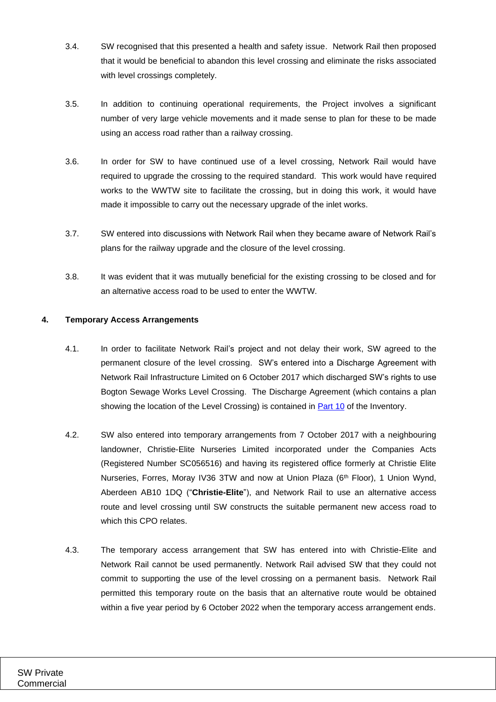- 3.4. SW recognised that this presented a health and safety issue. Network Rail then proposed that it would be beneficial to abandon this level crossing and eliminate the risks associated with level crossings completely.
- 3.5. In addition to continuing operational requirements, the Project involves a significant number of very large vehicle movements and it made sense to plan for these to be made using an access road rather than a railway crossing.
- 3.6. In order for SW to have continued use of a level crossing, Network Rail would have required to upgrade the crossing to the required standard. This work would have required works to the WWTW site to facilitate the crossing, but in doing this work, it would have made it impossible to carry out the necessary upgrade of the inlet works.
- 3.7. SW entered into discussions with Network Rail when they became aware of Network Rail's plans for the railway upgrade and the closure of the level crossing.
- 3.8. It was evident that it was mutually beneficial for the existing crossing to be closed and for an alternative access road to be used to enter the WWTW.

## <span id="page-3-0"></span>**4. Temporary Access Arrangements**

- 4.1. In order to facilitate Network Rail's project and not delay their work, SW agreed to the permanent closure of the level crossing. SW's entered into a Discharge Agreement with Network Rail Infrastructure Limited on 6 October 2017 which discharged SW's rights to use Bogton Sewage Works Level Crossing. The Discharge Agreement (which contains a plan showing the location of the Level Crossing) is contained in [Part 10](#page-18-2) of the Inventory.
- 4.2. SW also entered into temporary arrangements from 7 October 2017 with a neighbouring landowner, Christie-Elite Nurseries Limited incorporated under the Companies Acts (Registered Number SC056516) and having its registered office formerly at Christie Elite Nurseries, Forres, Moray IV36 3TW and now at Union Plaza (6<sup>th</sup> Floor), 1 Union Wynd, Aberdeen AB10 1DQ ("**Christie-Elite**"), and Network Rail to use an alternative access route and level crossing until SW constructs the suitable permanent new access road to which this CPO relates
- 4.3. The temporary access arrangement that SW has entered into with Christie-Elite and Network Rail cannot be used permanently. Network Rail advised SW that they could not commit to supporting the use of the level crossing on a permanent basis. Network Rail permitted this temporary route on the basis that an alternative route would be obtained within a five year period by 6 October 2022 when the temporary access arrangement ends.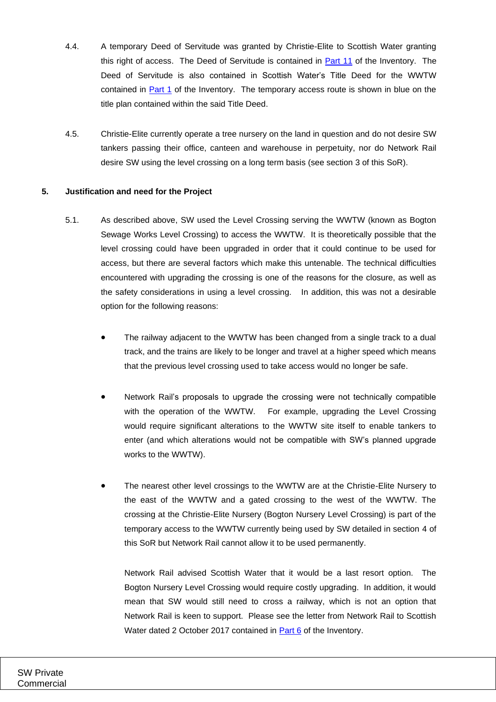- 4.4. A temporary Deed of Servitude was granted by Christie-Elite to Scottish Water granting this right of access. The Deed of Servitude is contained in [Part 11](#page-18-3) of the Inventory. The Deed of Servitude is also contained in Scottish Water's Title Deed for the WWTW contained in [Part 1](#page-18-0) of the Inventory. The temporary access route is shown in blue on the title plan contained within the said Title Deed.
- 4.5. Christie-Elite currently operate a tree nursery on the land in question and do not desire SW tankers passing their office, canteen and warehouse in perpetuity, nor do Network Rail desire SW using the level crossing on a long term basis (see section [3](#page-2-0) of this SoR).

## <span id="page-4-0"></span>**5. Justification and need for the Project**

- 5.1. As described above, SW used the Level Crossing serving the WWTW (known as Bogton Sewage Works Level Crossing) to access the WWTW. It is theoretically possible that the level crossing could have been upgraded in order that it could continue to be used for access, but there are several factors which make this untenable. The technical difficulties encountered with upgrading the crossing is one of the reasons for the closure, as well as the safety considerations in using a level crossing. In addition, this was not a desirable option for the following reasons:
	- The railway adjacent to the WWTW has been changed from a single track to a dual track, and the trains are likely to be longer and travel at a higher speed which means that the previous level crossing used to take access would no longer be safe.
	- Network Rail's proposals to upgrade the crossing were not technically compatible with the operation of the WWTW. For example, upgrading the Level Crossing would require significant alterations to the WWTW site itself to enable tankers to enter (and which alterations would not be compatible with SW's planned upgrade works to the WWTW).
	- The nearest other level crossings to the WWTW are at the Christie-Elite Nursery to the east of the WWTW and a gated crossing to the west of the WWTW. The crossing at the Christie-Elite Nursery (Bogton Nursery Level Crossing) is part of the temporary access to the WWTW currently being used by SW detailed in section [4](#page-3-0) of this SoR but Network Rail cannot allow it to be used permanently.

Network Rail advised Scottish Water that it would be a last resort option. The Bogton Nursery Level Crossing would require costly upgrading. In addition, it would mean that SW would still need to cross a railway, which is not an option that Network Rail is keen to support. Please see the letter from Network Rail to Scottish Water dated 2 October 2017 contained in [Part 6](#page-18-4) of the Inventory.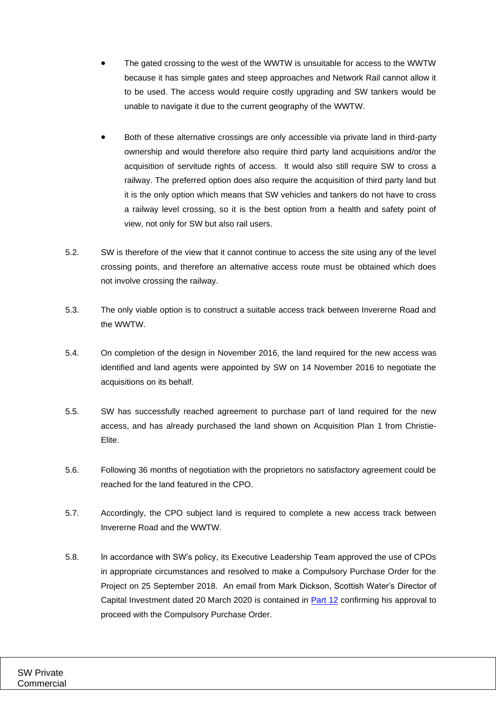- The gated crossing to the west of the WWTW is unsuitable for access to the WWTW because it has simple gates and steep approaches and Network Rail cannot allow it to be used. The access would require costly upgrading and SW tankers would be unable to navigate it due to the current geography of the WWTW.
- Both of these alternative crossings are only accessible via private land in third-party ownership and would therefore also require third party land acquisitions and/or the acquisition of servitude rights of access. It would also still require SW to cross a railway. The preferred option does also require the acquisition of third party land but it is the only option which means that SW vehicles and tankers do not have to cross a railway level crossing, so it is the best option from a health and safety point of view, not only for SW but also rail users.
- 5.2. SW is therefore of the view that it cannot continue to access the site using any of the level crossing points, and therefore an alternative access route must be obtained which does not involve crossing the railway.
- 5.3. The only viable option is to construct a suitable access track between Invererne Road and the WWTW.
- 5.4. On completion of the design in November 2016, the land required for the new access was identified and land agents were appointed by SW on 14 November 2016 to negotiate the acquisitions on its behalf.
- 5.5. SW has successfully reached agreement to purchase part of land required for the new access, and has already purchased the land shown on Acquisition Plan 1 from Christie-Elite.
- 5.6. Following 36 months of negotiation with the proprietors no satisfactory agreement could be reached for the land featured in the CPO.
- 5.7. Accordingly, the CPO subject land is required to complete a new access track between Invererne Road and the WWTW.
- 5.8. In accordance with SW's policy, its Executive Leadership Team approved the use of CPOs in appropriate circumstances and resolved to make a Compulsory Purchase Order for the Project on 25 September 2018. An email from Mark Dickson, Scottish Water's Director of Capital Investment dated 20 March 2020 is contained in [Part 12](#page-18-5) confirming his approval to proceed with the Compulsory Purchase Order.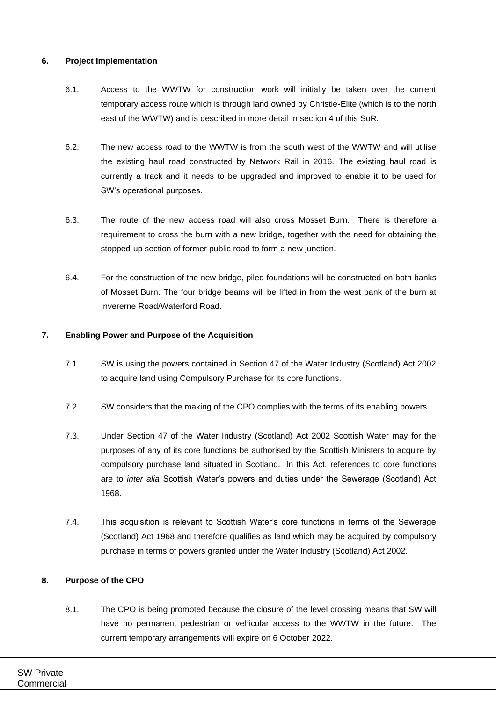## **6. Project Implementation**

- 6.1. Access to the WWTW for construction work will initially be taken over the current temporary access route which is through land owned by Christie-Elite (which is to the north east of the WWTW) and is described in more detail in section [4](#page-3-0) of this SoR.
- 6.2. The new access road to the WWTW is from the south west of the WWTW and will utilise the existing haul road constructed by Network Rail in 2016. The existing haul road is currently a track and it needs to be upgraded and improved to enable it to be used for SW's operational purposes.
- 6.3. The route of the new access road will also cross Mosset Burn. There is therefore a requirement to cross the burn with a new bridge, together with the need for obtaining the stopped-up section of former public road to form a new junction.
- 6.4. For the construction of the new bridge, piled foundations will be constructed on both banks of Mosset Burn. The four bridge beams will be lifted in from the west bank of the burn at Invererne Road/Waterford Road.

### **7. Enabling Power and Purpose of the Acquisition**

- 7.1. SW is using the powers contained in Section 47 of the Water Industry (Scotland) Act 2002 to acquire land using Compulsory Purchase for its core functions.
- 7.2. SW considers that the making of the CPO complies with the terms of its enabling powers.
- 7.3. Under Section 47 of the Water Industry (Scotland) Act 2002 Scottish Water may for the purposes of any of its core functions be authorised by the Scottish Ministers to acquire by compulsory purchase land situated in Scotland. In this Act, references to core functions are to *inter alia* Scottish Water's powers and duties under the Sewerage (Scotland) Act 1968.
- 7.4. This acquisition is relevant to Scottish Water's core functions in terms of the Sewerage (Scotland) Act 1968 and therefore qualifies as land which may be acquired by compulsory purchase in terms of powers granted under the Water Industry (Scotland) Act 2002.

## **8. Purpose of the CPO**

8.1. The CPO is being promoted because the closure of the level crossing means that SW will have no permanent pedestrian or vehicular access to the WWTW in the future. The current temporary arrangements will expire on 6 October 2022.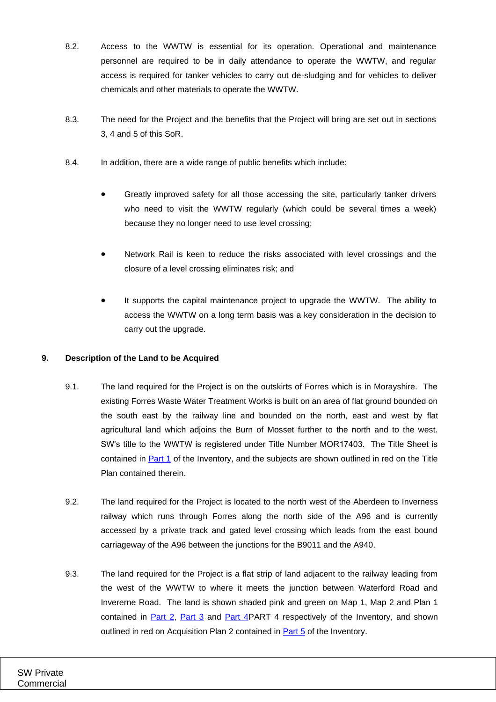- 8.2. Access to the WWTW is essential for its operation. Operational and maintenance personnel are required to be in daily attendance to operate the WWTW, and regular access is required for tanker vehicles to carry out de-sludging and for vehicles to deliver chemicals and other materials to operate the WWTW.
- 8.3. The need for the Project and the benefits that the Project will bring are set out in sections [3,](#page-2-0) [4](#page-3-0) and [5](#page-4-0) of this SoR.
- 8.4. In addition, there are a wide range of public benefits which include:
	- Greatly improved safety for all those accessing the site, particularly tanker drivers who need to visit the WWTW regularly (which could be several times a week) because they no longer need to use level crossing;
	- Network Rail is keen to reduce the risks associated with level crossings and the closure of a level crossing eliminates risk; and
	- It supports the capital maintenance project to upgrade the WWTW. The ability to access the WWTW on a long term basis was a key consideration in the decision to carry out the upgrade.

## <span id="page-7-0"></span>**9. Description of the Land to be Acquired**

- 9.1. The land required for the Project is on the outskirts of Forres which is in Morayshire. The existing Forres Waste Water Treatment Works is built on an area of flat ground bounded on the south east by the railway line and bounded on the north, east and west by flat agricultural land which adjoins the Burn of Mosset further to the north and to the west. SW's title to the WWTW is registered under Title Number MOR17403. The Title Sheet is contained in [Part 1](#page-18-0) of the Inventory, and the subjects are shown outlined in red on the Title Plan contained therein.
- 9.2. The land required for the Project is located to the north west of the Aberdeen to Inverness railway which runs through Forres along the north side of the A96 and is currently accessed by a private track and gated level crossing which leads from the east bound carriageway of the A96 between the junctions for the B9011 and the A940.
- 9.3. The land required for the Project is a flat strip of land adjacent to the railway leading from the west of the WWTW to where it meets the junction between Waterford Road and Invererne Road. The land is shown shaded pink and green on Map 1, Map 2 and Plan 1 contained in [Part 2,](#page-18-6) [Part 3](#page-18-7) and [Part 4PART 4](#page-18-1) respectively of the Inventory, and shown outlined in red on Acquisition Plan 2 contained in [Part 5](#page-18-8) of the Inventory.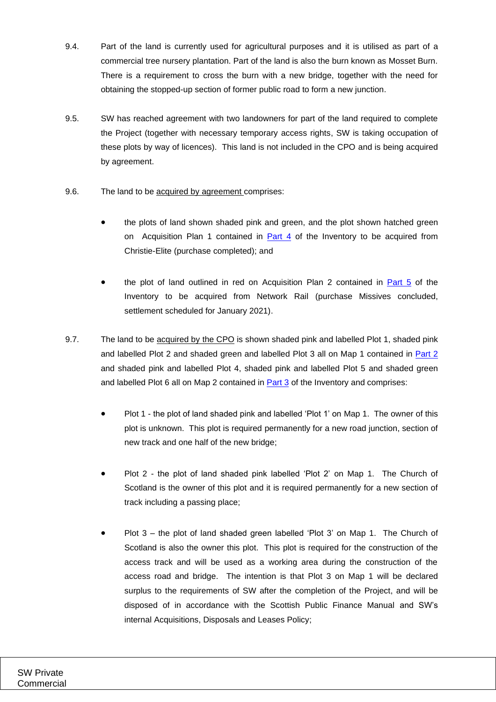- 9.4. Part of the land is currently used for agricultural purposes and it is utilised as part of a commercial tree nursery plantation. Part of the land is also the burn known as Mosset Burn. There is a requirement to cross the burn with a new bridge, together with the need for obtaining the stopped-up section of former public road to form a new junction.
- <span id="page-8-0"></span>9.5. SW has reached agreement with two landowners for part of the land required to complete the Project (together with necessary temporary access rights, SW is taking occupation of these plots by way of licences). This land is not included in the CPO and is being acquired by agreement.
- 9.6. The land to be acquired by agreement comprises:
	- the plots of land shown shaded pink and green, and the plot shown hatched green on Acquisition Plan 1 contained in  $Part 4$  of the Inventory to be acquired from Christie-Elite (purchase completed); and
	- the plot of land outlined in red on Acquisition Plan 2 contained in  $Part 5$  of the Inventory to be acquired from Network Rail (purchase Missives concluded, settlement scheduled for January 2021).
- 9.7. The land to be acquired by the CPO is shown shaded pink and labelled Plot 1, shaded pink and labelled Plot 2 and shaded green and labelled Plot 3 all on Map 1 contained in [Part 2](#page-18-6) and shaded pink and labelled Plot 4, shaded pink and labelled Plot 5 and shaded green and labelled Plot 6 all on Map 2 contained in **Part 3** of the Inventory and comprises:
	- Plot 1 the plot of land shaded pink and labelled 'Plot 1' on Map 1. The owner of this plot is unknown. This plot is required permanently for a new road junction, section of new track and one half of the new bridge;
	- Plot 2 the plot of land shaded pink labelled 'Plot 2' on Map 1. The Church of Scotland is the owner of this plot and it is required permanently for a new section of track including a passing place;
	- Plot 3 the plot of land shaded green labelled 'Plot 3' on Map 1. The Church of Scotland is also the owner this plot. This plot is required for the construction of the access track and will be used as a working area during the construction of the access road and bridge. The intention is that Plot 3 on Map 1 will be declared surplus to the requirements of SW after the completion of the Project, and will be disposed of in accordance with the Scottish Public Finance Manual and SW's internal Acquisitions, Disposals and Leases Policy;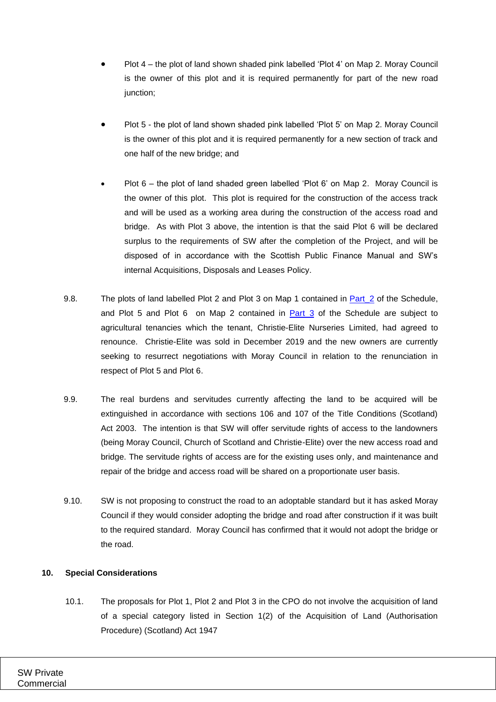- Plot 4 the plot of land shown shaded pink labelled 'Plot 4' on Map 2. Moray Council is the owner of this plot and it is required permanently for part of the new road junction;
- Plot 5 the plot of land shown shaded pink labelled 'Plot 5' on Map 2. Moray Council is the owner of this plot and it is required permanently for a new section of track and one half of the new bridge; and
- Plot 6 the plot of land shaded green labelled 'Plot 6' on Map 2. Moray Council is the owner of this plot. This plot is required for the construction of the access track and will be used as a working area during the construction of the access road and bridge. As with Plot 3 above, the intention is that the said Plot 6 will be declared surplus to the requirements of SW after the completion of the Project, and will be disposed of in accordance with the Scottish Public Finance Manual and SW's internal Acquisitions, Disposals and Leases Policy.
- 9.8. The plots of land labelled Plot 2 and Plot 3 on Map 1 contained in [Part\\_2](#page-18-6) of the Schedule, and Plot 5 and Plot 6 on Map 2 contained in  $Part_3$  of the Schedule are subject to agricultural tenancies which the tenant, Christie-Elite Nurseries Limited, had agreed to renounce. Christie-Elite was sold in December 2019 and the new owners are currently seeking to resurrect negotiations with Moray Council in relation to the renunciation in respect of Plot 5 and Plot 6.
- 9.9. The real burdens and servitudes currently affecting the land to be acquired will be extinguished in accordance with sections 106 and 107 of the Title Conditions (Scotland) Act 2003. The intention is that SW will offer servitude rights of access to the landowners (being Moray Council, Church of Scotland and Christie-Elite) over the new access road and bridge. The servitude rights of access are for the existing uses only, and maintenance and repair of the bridge and access road will be shared on a proportionate user basis.
- 9.10. SW is not proposing to construct the road to an adoptable standard but it has asked Moray Council if they would consider adopting the bridge and road after construction if it was built to the required standard. Moray Council has confirmed that it would not adopt the bridge or the road.

## **10. Special Considerations**

10.1. The proposals for Plot 1, Plot 2 and Plot 3 in the CPO do not involve the acquisition of land of a special category listed in Section 1(2) of the Acquisition of Land (Authorisation Procedure) (Scotland) Act 1947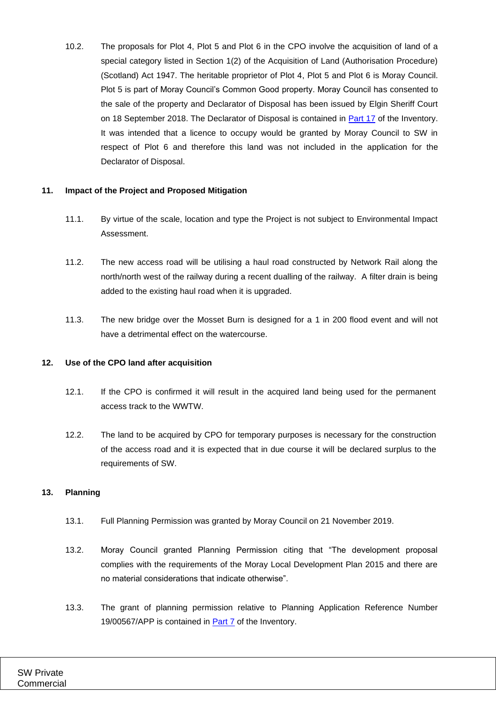10.2. The proposals for Plot 4, Plot 5 and Plot 6 in the CPO involve the acquisition of land of a special category listed in Section 1(2) of the Acquisition of Land (Authorisation Procedure) (Scotland) Act 1947. The heritable proprietor of Plot 4, Plot 5 and Plot 6 is Moray Council. Plot 5 is part of Moray Council's Common Good property. Moray Council has consented to the sale of the property and Declarator of Disposal has been issued by Elgin Sheriff Court on 18 September 2018. The Declarator of Disposal is contained in [Part 17](#page-18-9) of the Inventory. It was intended that a licence to occupy would be granted by Moray Council to SW in respect of Plot 6 and therefore this land was not included in the application for the Declarator of Disposal.

### **11. Impact of the Project and Proposed Mitigation**

- 11.1. By virtue of the scale, location and type the Project is not subject to Environmental Impact Assessment.
- 11.2. The new access road will be utilising a haul road constructed by Network Rail along the north/north west of the railway during a recent dualling of the railway. A filter drain is being added to the existing haul road when it is upgraded.
- 11.3. The new bridge over the Mosset Burn is designed for a 1 in 200 flood event and will not have a detrimental effect on the watercourse.

## **12. Use of the CPO land after acquisition**

- 12.1. If the CPO is confirmed it will result in the acquired land being used for the permanent access track to the WWTW.
- 12.2. The land to be acquired by CPO for temporary purposes is necessary for the construction of the access road and it is expected that in due course it will be declared surplus to the requirements of SW.

## <span id="page-10-0"></span>**13. Planning**

- 13.1. Full Planning Permission was granted by Moray Council on 21 November 2019.
- 13.2. Moray Council granted Planning Permission citing that "The development proposal complies with the requirements of the Moray Local Development Plan 2015 and there are no material considerations that indicate otherwise".
- 13.3. The grant of planning permission relative to Planning Application Reference Number 19/00567/APP is contained in [Part 7](#page-18-10) of the Inventory.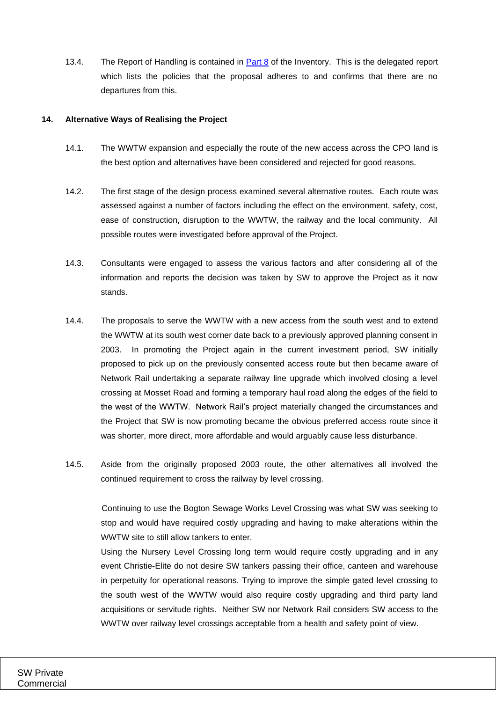13.4. The Report of Handling is contained in [Part 8](#page-18-11) of the Inventory. This is the delegated report which lists the policies that the proposal adheres to and confirms that there are no departures from this.

### **14. Alternative Ways of Realising the Project**

- 14.1. The WWTW expansion and especially the route of the new access across the CPO land is the best option and alternatives have been considered and rejected for good reasons.
- 14.2. The first stage of the design process examined several alternative routes. Each route was assessed against a number of factors including the effect on the environment, safety, cost, ease of construction, disruption to the WWTW, the railway and the local community. All possible routes were investigated before approval of the Project.
- 14.3. Consultants were engaged to assess the various factors and after considering all of the information and reports the decision was taken by SW to approve the Project as it now stands.
- 14.4. The proposals to serve the WWTW with a new access from the south west and to extend the WWTW at its south west corner date back to a previously approved planning consent in 2003. In promoting the Project again in the current investment period, SW initially proposed to pick up on the previously consented access route but then became aware of Network Rail undertaking a separate railway line upgrade which involved closing a level crossing at Mosset Road and forming a temporary haul road along the edges of the field to the west of the WWTW. Network Rail's project materially changed the circumstances and the Project that SW is now promoting became the obvious preferred access route since it was shorter, more direct, more affordable and would arguably cause less disturbance.
- 14.5. Aside from the originally proposed 2003 route, the other alternatives all involved the continued requirement to cross the railway by level crossing.

Continuing to use the Bogton Sewage Works Level Crossing was what SW was seeking to stop and would have required costly upgrading and having to make alterations within the WWTW site to still allow tankers to enter.

Using the Nursery Level Crossing long term would require costly upgrading and in any event Christie-Elite do not desire SW tankers passing their office, canteen and warehouse in perpetuity for operational reasons. Trying to improve the simple gated level crossing to the south west of the WWTW would also require costly upgrading and third party land acquisitions or servitude rights. Neither SW nor Network Rail considers SW access to the WWTW over railway level crossings acceptable from a health and safety point of view.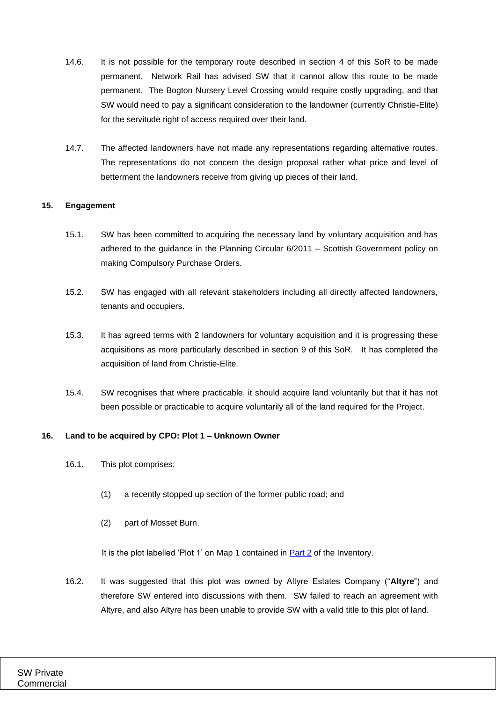- 14.6. It is not possible for the temporary route described in section [4](#page-3-0) of this SoR to be made permanent. Network Rail has advised SW that it cannot allow this route to be made permanent. The Bogton Nursery Level Crossing would require costly upgrading, and that SW would need to pay a significant consideration to the landowner (currently Christie-Elite) for the servitude right of access required over their land.
- 14.7. The affected landowners have not made any representations regarding alternative routes. The representations do not concern the design proposal rather what price and level of betterment the landowners receive from giving up pieces of their land.

### **15. Engagement**

- 15.1. SW has been committed to acquiring the necessary land by voluntary acquisition and has adhered to the guidance in the Planning Circular 6/2011 – Scottish Government policy on making Compulsory Purchase Orders.
- 15.2. SW has engaged with all relevant stakeholders including all directly affected landowners, tenants and occupiers.
- 15.3. It has agreed terms with 2 landowners for voluntary acquisition and it is progressing these acquisitions as more particularly described in section [9](#page-7-0) of this SoR. It has completed the acquisition of land from Christie-Elite.
- 15.4. SW recognises that where practicable, it should acquire land voluntarily but that it has not been possible or practicable to acquire voluntarily all of the land required for the Project.

### **16. Land to be acquired by CPO: Plot 1 – Unknown Owner**

- 16.1. This plot comprises:
	- (1) a recently stopped up section of the former public road; and
	- (2) part of Mosset Burn.

It is the plot labelled 'Plot 1' on Map 1 contained in [Part 2](#page-18-6) of the Inventory.

16.2. It was suggested that this plot was owned by Altyre Estates Company ("**Altyre**") and therefore SW entered into discussions with them. SW failed to reach an agreement with Altyre, and also Altyre has been unable to provide SW with a valid title to this plot of land.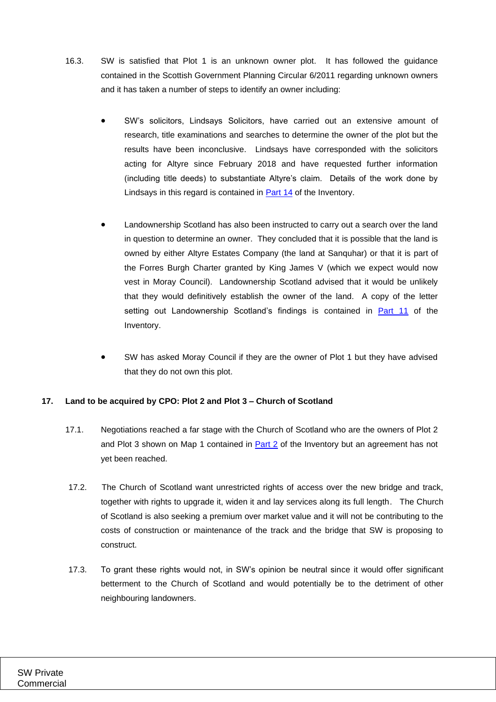- 16.3. SW is satisfied that Plot 1 is an unknown owner plot. It has followed the guidance contained in the Scottish Government Planning Circular 6/2011 regarding unknown owners and it has taken a number of steps to identify an owner including:
	- SW's solicitors, Lindsays Solicitors, have carried out an extensive amount of research, title examinations and searches to determine the owner of the plot but the results have been inconclusive. Lindsays have corresponded with the solicitors acting for Altyre since February 2018 and have requested further information (including title deeds) to substantiate Altyre's claim. Details of the work done by Lindsays in this regard is contained in [Part 14](#page-18-12) of the Inventory.
	- Landownership Scotland has also been instructed to carry out a search over the land in question to determine an owner. They concluded that it is possible that the land is owned by either Altyre Estates Company (the land at Sanquhar) or that it is part of the Forres Burgh Charter granted by King James V (which we expect would now vest in Moray Council). Landownership Scotland advised that it would be unlikely that they would definitively establish the owner of the land. A copy of the letter setting out Landownership Scotland's findings is contained in [Part 11](#page-18-3) of the Inventory.
	- SW has asked Moray Council if they are the owner of Plot 1 but they have advised that they do not own this plot.

## **17. Land to be acquired by CPO: Plot 2 and Plot 3 – Church of Scotland**

- 17.1. Negotiations reached a far stage with the Church of Scotland who are the owners of Plot 2 and Plot 3 shown on Map 1 contained in [Part 2](#page-18-6) of the Inventory but an agreement has not yet been reached.
- 17.2. The Church of Scotland want unrestricted rights of access over the new bridge and track, together with rights to upgrade it, widen it and lay services along its full length. The Church of Scotland is also seeking a premium over market value and it will not be contributing to the costs of construction or maintenance of the track and the bridge that SW is proposing to construct.
- 17.3. To grant these rights would not, in SW's opinion be neutral since it would offer significant betterment to the Church of Scotland and would potentially be to the detriment of other neighbouring landowners.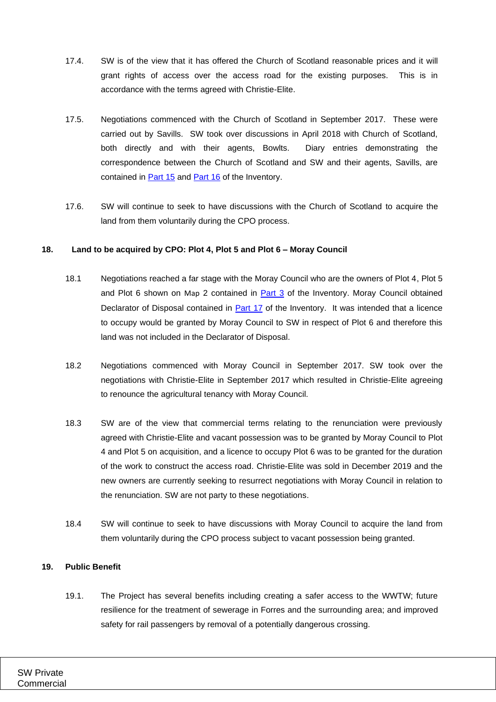- 17.4. SW is of the view that it has offered the Church of Scotland reasonable prices and it will grant rights of access over the access road for the existing purposes. This is in accordance with the terms agreed with Christie-Elite.
- 17.5. Negotiations commenced with the Church of Scotland in September 2017. These were carried out by Savills. SW took over discussions in April 2018 with Church of Scotland, both directly and with their agents, Bowlts. Diary entries demonstrating the correspondence between the Church of Scotland and SW and their agents, Savills, are contained in **Part 15** and **Part 16** of the Inventory.
- 17.6. SW will continue to seek to have discussions with the Church of Scotland to acquire the land from them voluntarily during the CPO process.

### **18. Land to be acquired by CPO: Plot 4, Plot 5 and Plot 6 – Moray Council**

- 18.1 Negotiations reached a far stage with the Moray Council who are the owners of Plot 4, Plot 5 and Plot 6 shown on Map 2 contained in [Part 3](#page-18-7) of the Inventory. Moray Council obtained Declarator of Disposal contained in [Part 17](#page-18-9) of the Inventory. It was intended that a licence to occupy would be granted by Moray Council to SW in respect of Plot 6 and therefore this land was not included in the Declarator of Disposal.
- 18.2 Negotiations commenced with Moray Council in September 2017. SW took over the negotiations with Christie-Elite in September 2017 which resulted in Christie-Elite agreeing to renounce the agricultural tenancy with Moray Council.
- 18.3 SW are of the view that commercial terms relating to the renunciation were previously agreed with Christie-Elite and vacant possession was to be granted by Moray Council to Plot 4 and Plot 5 on acquisition, and a licence to occupy Plot 6 was to be granted for the duration of the work to construct the access road. Christie-Elite was sold in December 2019 and the new owners are currently seeking to resurrect negotiations with Moray Council in relation to the renunciation. SW are not party to these negotiations.
- 18.4 SW will continue to seek to have discussions with Moray Council to acquire the land from them voluntarily during the CPO process subject to vacant possession being granted.

#### **19. Public Benefit**

19.1. The Project has several benefits including creating a safer access to the WWTW; future resilience for the treatment of sewerage in Forres and the surrounding area; and improved safety for rail passengers by removal of a potentially dangerous crossing.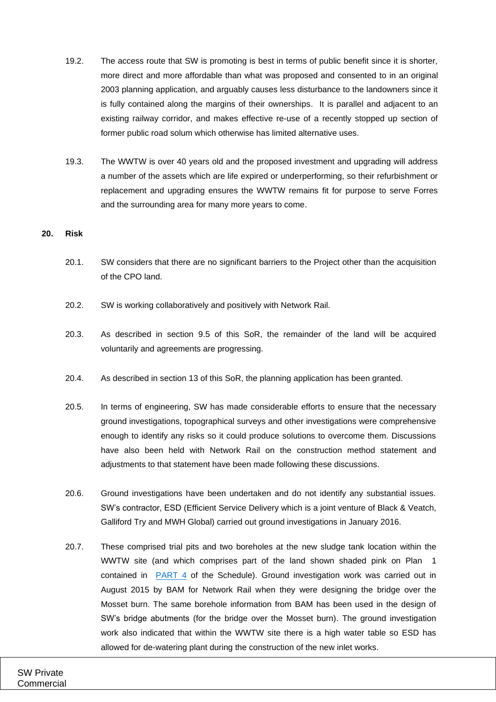- 19.2. The access route that SW is promoting is best in terms of public benefit since it is shorter, more direct and more affordable than what was proposed and consented to in an original 2003 planning application, and arguably causes less disturbance to the landowners since it is fully contained along the margins of their ownerships. It is parallel and adjacent to an existing railway corridor, and makes effective re-use of a recently stopped up section of former public road solum which otherwise has limited alternative uses.
- 19.3. The WWTW is over 40 years old and the proposed investment and upgrading will address a number of the assets which are life expired or underperforming, so their refurbishment or replacement and upgrading ensures the WWTW remains fit for purpose to serve Forres and the surrounding area for many more years to come.

#### **20. Risk**

- 20.1. SW considers that there are no significant barriers to the Project other than the acquisition of the CPO land.
- 20.2. SW is working collaboratively and positively with Network Rail.
- 20.3. As described in section [9.5](#page-8-0) of this SoR, the remainder of the land will be acquired voluntarily and agreements are progressing.
- 20.4. As described in section [13](#page-10-0) of this SoR, the planning application has been granted.
- 20.5. In terms of engineering, SW has made considerable efforts to ensure that the necessary ground investigations, topographical surveys and other investigations were comprehensive enough to identify any risks so it could produce solutions to overcome them. Discussions have also been held with Network Rail on the construction method statement and adjustments to that statement have been made following these discussions.
- 20.6. Ground investigations have been undertaken and do not identify any substantial issues. SW's contractor, ESD (Efficient Service Delivery which is a joint venture of Black & Veatch, Galliford Try and MWH Global) carried out ground investigations in January 2016.
- 20.7. These comprised trial pits and two boreholes at the new sludge tank location within the WWTW site (and which comprises part of the land shown shaded pink on Plan 1 contained in [PART 4](#page-18-1) of the Schedule). Ground investigation work was carried out in August 2015 by BAM for Network Rail when they were designing the bridge over the Mosset burn. The same borehole information from BAM has been used in the design of SW's bridge abutments (for the bridge over the Mosset burn). The ground investigation work also indicated that within the WWTW site there is a high water table so ESD has allowed for de-watering plant during the construction of the new inlet works.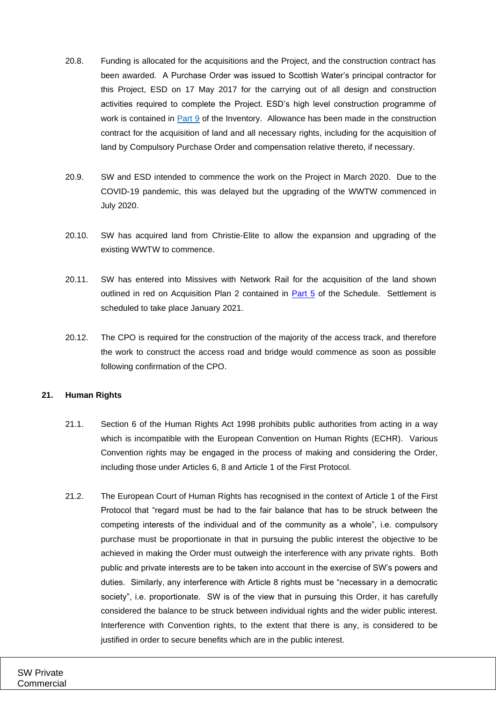- 20.8. Funding is allocated for the acquisitions and the Project, and the construction contract has been awarded. A Purchase Order was issued to Scottish Water's principal contractor for this Project, ESD on 17 May 2017 for the carrying out of all design and construction activities required to complete the Project. ESD's high level construction programme of work is contained in [Part 9](#page-18-15) of the Inventory. Allowance has been made in the construction contract for the acquisition of land and all necessary rights, including for the acquisition of land by Compulsory Purchase Order and compensation relative thereto, if necessary.
- 20.9. SW and ESD intended to commence the work on the Project in March 2020. Due to the COVID-19 pandemic, this was delayed but the upgrading of the WWTW commenced in July 2020.
- 20.10. SW has acquired land from Christie-Elite to allow the expansion and upgrading of the existing WWTW to commence.
- 20.11. SW has entered into Missives with Network Rail for the acquisition of the land shown outlined in red on Acquisition Plan 2 contained in **Part 5** of the Schedule. Settlement is scheduled to take place January 2021.
- 20.12. The CPO is required for the construction of the majority of the access track, and therefore the work to construct the access road and bridge would commence as soon as possible following confirmation of the CPO.

#### **21. Human Rights**

- 21.1. Section 6 of the Human Rights Act 1998 prohibits public authorities from acting in a way which is incompatible with the European Convention on Human Rights (ECHR). Various Convention rights may be engaged in the process of making and considering the Order, including those under Articles 6, 8 and Article 1 of the First Protocol.
- 21.2. The European Court of Human Rights has recognised in the context of Article 1 of the First Protocol that "regard must be had to the fair balance that has to be struck between the competing interests of the individual and of the community as a whole", i.e. compulsory purchase must be proportionate in that in pursuing the public interest the objective to be achieved in making the Order must outweigh the interference with any private rights. Both public and private interests are to be taken into account in the exercise of SW's powers and duties. Similarly, any interference with Article 8 rights must be "necessary in a democratic society", i.e. proportionate. SW is of the view that in pursuing this Order, it has carefully considered the balance to be struck between individual rights and the wider public interest. Interference with Convention rights, to the extent that there is any, is considered to be justified in order to secure benefits which are in the public interest.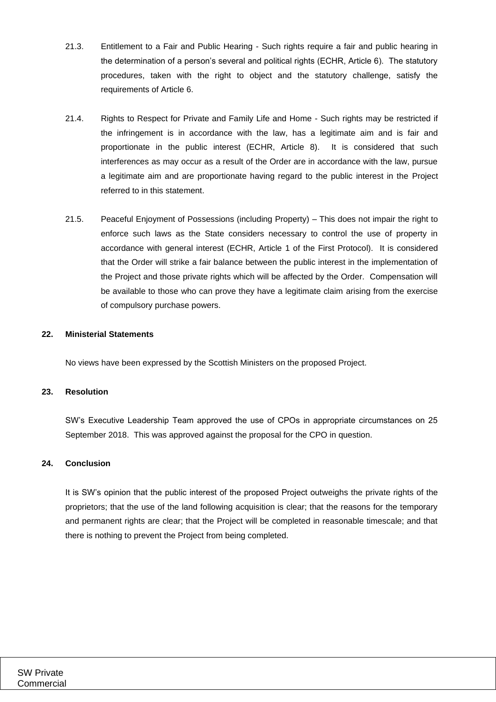- 21.3. Entitlement to a Fair and Public Hearing Such rights require a fair and public hearing in the determination of a person's several and political rights (ECHR, Article 6). The statutory procedures, taken with the right to object and the statutory challenge, satisfy the requirements of Article 6.
- 21.4. Rights to Respect for Private and Family Life and Home Such rights may be restricted if the infringement is in accordance with the law, has a legitimate aim and is fair and proportionate in the public interest (ECHR, Article 8). It is considered that such interferences as may occur as a result of the Order are in accordance with the law, pursue a legitimate aim and are proportionate having regard to the public interest in the Project referred to in this statement.
- 21.5. Peaceful Enjoyment of Possessions (including Property) This does not impair the right to enforce such laws as the State considers necessary to control the use of property in accordance with general interest (ECHR, Article 1 of the First Protocol). It is considered that the Order will strike a fair balance between the public interest in the implementation of the Project and those private rights which will be affected by the Order. Compensation will be available to those who can prove they have a legitimate claim arising from the exercise of compulsory purchase powers.

### **22. Ministerial Statements**

No views have been expressed by the Scottish Ministers on the proposed Project.

#### **23. Resolution**

SW's Executive Leadership Team approved the use of CPOs in appropriate circumstances on 25 September 2018. This was approved against the proposal for the CPO in question.

#### **24. Conclusion**

It is SW's opinion that the public interest of the proposed Project outweighs the private rights of the proprietors; that the use of the land following acquisition is clear; that the reasons for the temporary and permanent rights are clear; that the Project will be completed in reasonable timescale; and that there is nothing to prevent the Project from being completed.